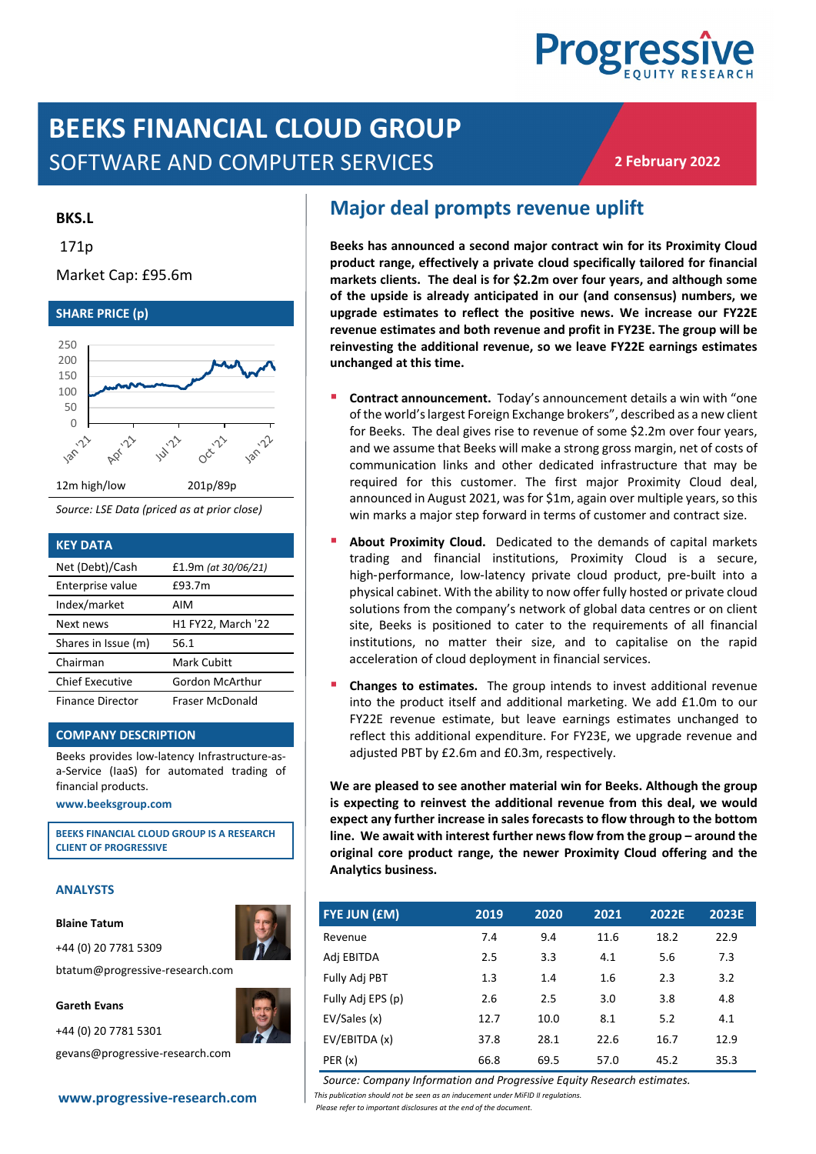

# **BEEKS FINANCIAL CLOUD GROUP** SOFTWARE AND COMPUTER SERVICES

**2 February 2022**

### **BKS.L**

171p

### Market Cap: £95.6m



*Source: LSE Data (priced as at prior close)*

| <b>KEY DATA</b>         |                     |
|-------------------------|---------------------|
| Net (Debt)/Cash         | £1.9m (at 30/06/21) |
| Enterprise value        | £93.7m              |
| Index/market            | AIM                 |
| Next news               | H1 FY22, March '22  |
| Shares in Issue (m)     | 56.1                |
| Chairman                | Mark Cubitt         |
| <b>Chief Executive</b>  | Gordon McArthur     |
| <b>Finance Director</b> | Fraser McDonald     |

### **COMPANY DESCRIPTION**

Beeks provides low-latency Infrastructure-asa-Service (IaaS) for automated trading of financial products.

**[www.beeksgroup.com](http://www.beeksgroup.com/)**

**BEEKS FINANCIAL CLOUD GROUP IS A RESEARCH CLIENT OF PROGRESSIVE**

#### **ANALYSTS**

#### **Blaine Tatum**

+44 (0) 20 7781 5309

+44 (0) 20 7781 5301

btatum@progressive-research.com

#### **Gareth Evans**



gevans@progressive-research.com

# **Major deal prompts revenue uplift**

**Beeks has announced a second major contract win for its Proximity Cloud product range, effectively a private cloud specifically tailored for financial markets clients. The deal is for \$2.2m over four years, and although some of the upside is already anticipated in our (and consensus) numbers, we upgrade estimates to reflect the positive news. We increase our FY22E revenue estimates and both revenue and profit in FY23E. The group will be reinvesting the additional revenue, so we leave FY22E earnings estimates unchanged at this time.** 

- **Contract announcement.** Today's announcement details a win with "one of the world's largest Foreign Exchange brokers", described as a new client for Beeks. The deal gives rise to revenue of some \$2.2m over four years, and we assume that Beeks will make a strong gross margin, net of costs of communication links and other dedicated infrastructure that may be required for this customer. The first major Proximity Cloud deal, announced in August 2021, was for \$1m, again over multiple years, so this win marks a major step forward in terms of customer and contract size.
- **About Proximity Cloud.** Dedicated to the demands of capital markets trading and financial institutions, Proximity Cloud is a secure, high-performance, low-latency private cloud product, pre-built into a physical cabinet. With the ability to now offer fully hosted or private cloud solutions from the company's network of global data centres or on client site, Beeks is positioned to cater to the requirements of all financial institutions, no matter their size, and to capitalise on the rapid acceleration of cloud deployment in financial services.
- **Changes to estimates.** The group intends to invest additional revenue into the product itself and additional marketing. We add £1.0m to our FY22E revenue estimate, but leave earnings estimates unchanged to reflect this additional expenditure. For FY23E, we upgrade revenue and adjusted PBT by £2.6m and £0.3m, respectively.

**We are pleased to see another material win for Beeks. Although the group is expecting to reinvest the additional revenue from this deal, we would expect any further increase in sales forecasts to flow through to the bottom line. We await with interest further news flow from the group – around the original core product range, the newer Proximity Cloud offering and the Analytics business.**

| <b>FYE JUN (£M)</b> | 2019 | 2020 | 2021 | 2022E | <b>2023E</b> |
|---------------------|------|------|------|-------|--------------|
| Revenue             | 7.4  | 9.4  | 11.6 | 18.2  | 22.9         |
| Adj EBITDA          | 2.5  | 3.3  | 4.1  | 5.6   | 7.3          |
| Fully Adj PBT       | 1.3  | 1.4  | 1.6  | 2.3   | 3.2          |
| Fully Adj EPS (p)   | 2.6  | 2.5  | 3.0  | 3.8   | 4.8          |
| EV/Sales (x)        | 12.7 | 10.0 | 8.1  | 5.2   | 4.1          |
| EV/EBITDA (x)       | 37.8 | 28.1 | 22.6 | 16.7  | 12.9         |
| PER(x)              | 66.8 | 69.5 | 57.0 | 45.2  | 35.3         |

*Source: Company Information and Progressive Equity Research estimates.*

**[www.progressive-research.com](http://www.progressive-research.com/)** *This publication should not be seen as an inducement under MiFID II regulations.*

*Please refer to important disclosures at the end of the document*.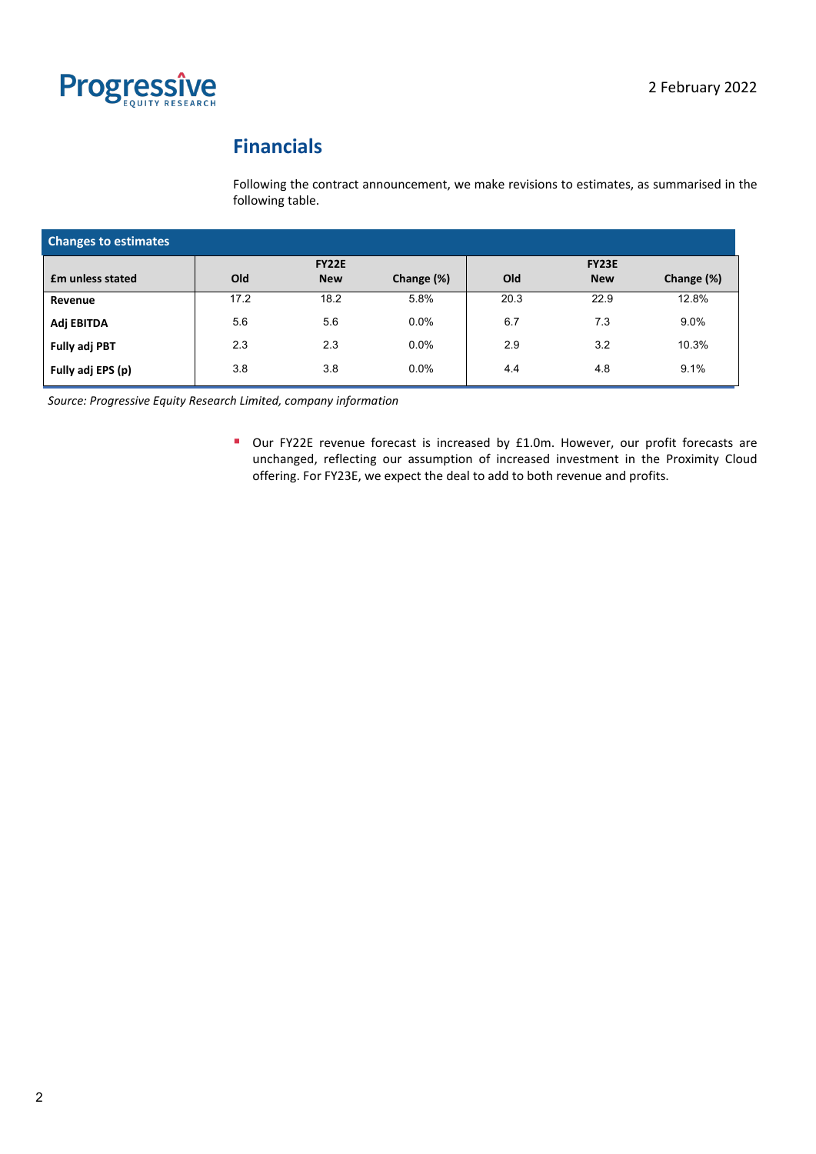

# **Financials**

Following the contract announcement, we make revisions to estimates, as summarised in the following table.

| <b>Changes to estimates</b> |              |            |            |              |            |            |  |
|-----------------------------|--------------|------------|------------|--------------|------------|------------|--|
|                             | <b>FY22E</b> |            |            | <b>FY23E</b> |            |            |  |
| <b>fm unless stated</b>     | Old          | <b>New</b> | Change (%) | Old          | <b>New</b> | Change (%) |  |
| Revenue                     | 17.2         | 18.2       | 5.8%       | 20.3         | 22.9       | 12.8%      |  |
| Adj EBITDA                  | 5.6          | 5.6        | 0.0%       | 6.7          | 7.3        | 9.0%       |  |
| <b>Fully adj PBT</b>        | 2.3          | 2.3        | 0.0%       | 2.9          | 3.2        | 10.3%      |  |
| Fully adj EPS (p)           | 3.8          | 3.8        | 0.0%       | 4.4          | 4.8        | 9.1%       |  |

*Source: Progressive Equity Research Limited, company information*

■ Our FY22E revenue forecast is increased by £1.0m. However, our profit forecasts are unchanged, reflecting our assumption of increased investment in the Proximity Cloud offering. For FY23E, we expect the deal to add to both revenue and profits.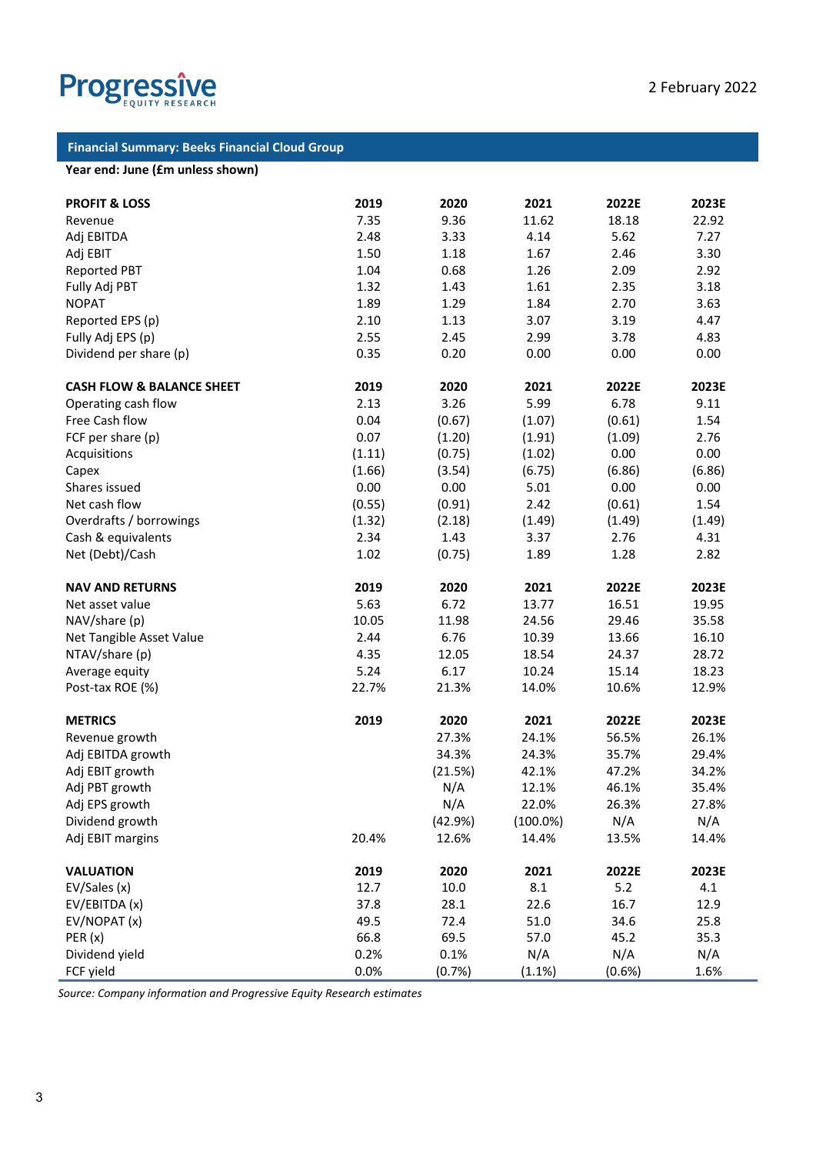

# **Financial Summary: Beeks Financial Cloud Group**

## **Year end: June (£m unless shown)**

| <b>PROFIT &amp; LOSS</b>             | 2019   | 2020    | 2021        | 2022E  | 2023E  |
|--------------------------------------|--------|---------|-------------|--------|--------|
| Revenue                              | 7.35   | 9.36    | 11.62       | 18.18  | 22.92  |
| Adj EBITDA                           | 2.48   | 3.33    | 4.14        | 5.62   | 7.27   |
| Adj EBIT                             | 1.50   | 1.18    | 1.67        | 2.46   | 3.30   |
| <b>Reported PBT</b>                  | 1.04   | 0.68    | 1.26        | 2.09   | 2.92   |
| Fully Adj PBT                        | 1.32   | 1.43    | 1.61        | 2.35   | 3.18   |
| <b>NOPAT</b>                         | 1.89   | 1.29    | 1.84        | 2.70   | 3.63   |
| Reported EPS (p)                     | 2.10   | 1.13    | 3.07        | 3.19   | 4.47   |
| Fully Adj EPS (p)                    | 2.55   | 2.45    | 2.99        | 3.78   | 4.83   |
| Dividend per share (p)               | 0.35   | 0.20    | 0.00        | 0.00   | 0.00   |
| <b>CASH FLOW &amp; BALANCE SHEET</b> | 2019   | 2020    | 2021        | 2022E  | 2023E  |
| Operating cash flow                  | 2.13   | 3.26    | 5.99        | 6.78   | 9.11   |
| Free Cash flow                       | 0.04   | (0.67)  | (1.07)      | (0.61) | 1.54   |
| FCF per share (p)                    | 0.07   | (1.20)  | (1.91)      | (1.09) | 2.76   |
| Acquisitions                         | (1.11) | (0.75)  | (1.02)      | 0.00   | 0.00   |
| Capex                                | (1.66) | (3.54)  | (6.75)      | (6.86) | (6.86) |
| Shares issued                        | 0.00   | 0.00    | 5.01        | 0.00   | 0.00   |
| Net cash flow                        | (0.55) | (0.91)  | 2.42        | (0.61) | 1.54   |
| Overdrafts / borrowings              | (1.32) | (2.18)  | (1.49)      | (1.49) | (1.49) |
| Cash & equivalents                   | 2.34   | 1.43    | 3.37        | 2.76   | 4.31   |
| Net (Debt)/Cash                      | 1.02   | (0.75)  | 1.89        | 1.28   | 2.82   |
| <b>NAV AND RETURNS</b>               | 2019   | 2020    | 2021        | 2022E  | 2023E  |
| Net asset value                      | 5.63   | 6.72    | 13.77       | 16.51  | 19.95  |
| NAV/share (p)                        | 10.05  | 11.98   | 24.56       | 29.46  | 35.58  |
| Net Tangible Asset Value             | 2.44   | 6.76    | 10.39       | 13.66  | 16.10  |
| NTAV/share (p)                       | 4.35   | 12.05   | 18.54       | 24.37  | 28.72  |
| Average equity                       | 5.24   | 6.17    | 10.24       | 15.14  | 18.23  |
| Post-tax ROE (%)                     | 22.7%  | 21.3%   | 14.0%       | 10.6%  | 12.9%  |
| <b>METRICS</b>                       | 2019   | 2020    | 2021        | 2022E  | 2023E  |
| Revenue growth                       |        | 27.3%   | 24.1%       | 56.5%  | 26.1%  |
| Adj EBITDA growth                    |        | 34.3%   | 24.3%       | 35.7%  | 29.4%  |
| Adj EBIT growth                      |        | (21.5%) | 42.1%       | 47.2%  | 34.2%  |
| Adj PBT growth                       |        | N/A     | 12.1%       | 46.1%  | 35.4%  |
| Adj EPS growth                       |        | N/A     | 22.0%       | 26.3%  | 27.8%  |
| Dividend growth                      |        | (42.9%) | $(100.0\%)$ | N/A    | N/A    |
| Adj EBIT margins                     | 20.4%  | 12.6%   | 14.4%       | 13.5%  | 14.4%  |
| <b>VALUATION</b>                     | 2019   | 2020    | 2021        | 2022E  | 2023E  |
| EV/Sales (x)                         | 12.7   | 10.0    | 8.1         | 5.2    | 4.1    |
| EV/EBITDA (x)                        | 37.8   | 28.1    | 22.6        | 16.7   | 12.9   |
| EV/NOPAT (x)                         | 49.5   | 72.4    | 51.0        | 34.6   | 25.8   |
| PER(x)                               | 66.8   | 69.5    | 57.0        | 45.2   | 35.3   |
| Dividend yield                       | 0.2%   | 0.1%    | N/A         | N/A    | N/A    |
| FCF yield                            | 0.0%   | (0.7%)  | (1.1%)      | (0.6%) | 1.6%   |

*Source: Company information and Progressive Equity Research estimates*